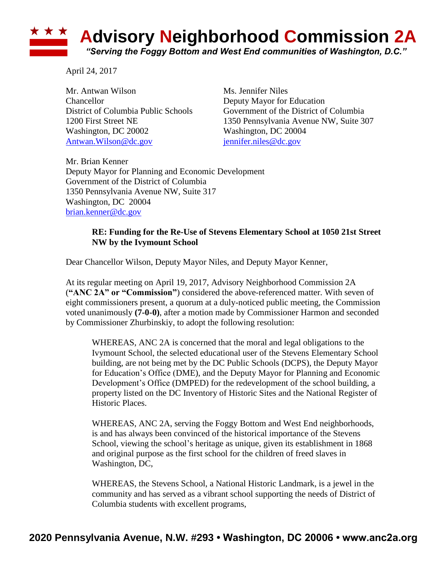## **Advisory Neighborhood Commission 2A** *"Serving the Foggy Bottom and West End communities of Washington, D.C."*

April 24, 2017

Mr. Antwan Wilson Ms. Jennifer Niles Chancellor Deputy Mayor for Education Washington, DC 20002 Washington, DC 20004 [Antwan.Wilson@dc.gov](mailto:Antwan.Wilson@dc.gov) [jennifer.niles@dc.gov](mailto:jennifer.niles@dc.gov)

District of Columbia Public Schools Government of the District of Columbia 1200 First Street NE 1350 Pennsylvania Avenue NW, Suite 307

Mr. Brian Kenner Deputy Mayor for Planning and Economic Development Government of the District of Columbia 1350 Pennsylvania Avenue NW, Suite 317 Washington, DC 20004 [brian.kenner@dc.gov](mailto:brian.kenner@dc.gov)

## **RE: Funding for the Re-Use of Stevens Elementary School at 1050 21st Street NW by the Ivymount School**

Dear Chancellor Wilson, Deputy Mayor Niles, and Deputy Mayor Kenner,

At its regular meeting on April 19, 2017, Advisory Neighborhood Commission 2A (**"ANC 2A" or "Commission"**) considered the above-referenced matter. With seven of eight commissioners present, a quorum at a duly-noticed public meeting, the Commission voted unanimously **(7-0-0)**, after a motion made by Commissioner Harmon and seconded by Commissioner Zhurbinskiy, to adopt the following resolution:

WHEREAS, ANC 2A is concerned that the moral and legal obligations to the Ivymount School, the selected educational user of the Stevens Elementary School building, are not being met by the DC Public Schools (DCPS), the Deputy Mayor for Education's Office (DME), and the Deputy Mayor for Planning and Economic Development's Office (DMPED) for the redevelopment of the school building, a property listed on the DC Inventory of Historic Sites and the National Register of Historic Places.

WHEREAS, ANC 2A, serving the Foggy Bottom and West End neighborhoods, is and has always been convinced of the historical importance of the Stevens School, viewing the school's heritage as unique, given its establishment in 1868 and original purpose as the first school for the children of freed slaves in Washington, DC,

WHEREAS, the Stevens School, a National Historic Landmark, is a jewel in the community and has served as a vibrant school supporting the needs of District of Columbia students with excellent programs,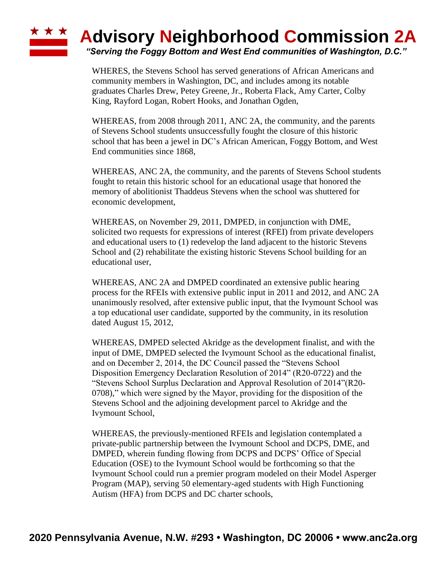## ★ ★ ★ **Advisory Neighborhood Commission 2A**

*"Serving the Foggy Bottom and West End communities of Washington, D.C."*

WHERES, the Stevens School has served generations of African Americans and community members in Washington, DC, and includes among its notable graduates Charles Drew, Petey Greene, Jr., Roberta Flack, Amy Carter, Colby King, Rayford Logan, Robert Hooks, and Jonathan Ogden,

WHEREAS, from 2008 through 2011, ANC 2A, the community, and the parents of Stevens School students unsuccessfully fought the closure of this historic school that has been a jewel in DC's African American, Foggy Bottom, and West End communities since 1868,

WHEREAS, ANC 2A, the community, and the parents of Stevens School students fought to retain this historic school for an educational usage that honored the memory of abolitionist Thaddeus Stevens when the school was shuttered for economic development,

WHEREAS, on November 29, 2011, DMPED, in conjunction with DME, solicited two requests for expressions of interest (RFEI) from private developers and educational users to (1) redevelop the land adjacent to the historic Stevens School and (2) rehabilitate the existing historic Stevens School building for an educational user,

WHEREAS, ANC 2A and DMPED coordinated an extensive public hearing process for the RFEIs with extensive public input in 2011 and 2012, and ANC 2A unanimously resolved, after extensive public input, that the Ivymount School was a top educational user candidate, supported by the community, in its resolution dated August 15, 2012,

WHEREAS, DMPED selected Akridge as the development finalist, and with the input of DME, DMPED selected the Ivymount School as the educational finalist, and on December 2, 2014, the DC Council passed the "Stevens School Disposition Emergency Declaration Resolution of 2014" (R20-0722) and the "Stevens School Surplus Declaration and Approval Resolution of 2014"(R20- 0708)," which were signed by the Mayor, providing for the disposition of the Stevens School and the adjoining development parcel to Akridge and the Ivymount School,

WHEREAS, the previously-mentioned RFEIs and legislation contemplated a private-public partnership between the Ivymount School and DCPS, DME, and DMPED, wherein funding flowing from DCPS and DCPS' Office of Special Education (OSE) to the Ivymount School would be forthcoming so that the Ivymount School could run a premier program modeled on their Model Asperger Program (MAP), serving 50 elementary-aged students with High Functioning Autism (HFA) from DCPS and DC charter schools,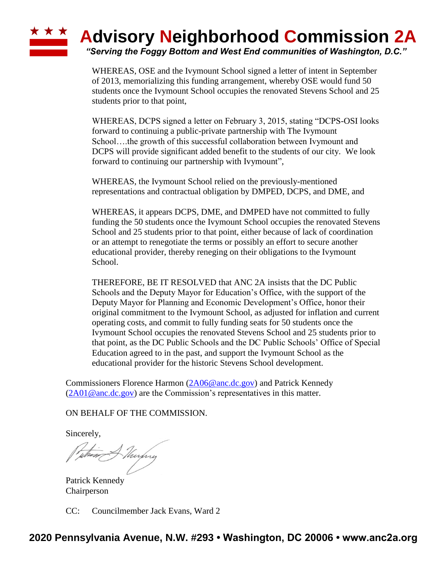

WHEREAS, OSE and the Ivymount School signed a letter of intent in September of 2013, memorializing this funding arrangement, whereby OSE would fund 50 students once the Ivymount School occupies the renovated Stevens School and 25 students prior to that point,

WHEREAS, DCPS signed a letter on February 3, 2015, stating "DCPS-OSI looks forward to continuing a public-private partnership with The Ivymount School….the growth of this successful collaboration between Ivymount and DCPS will provide significant added benefit to the students of our city. We look forward to continuing our partnership with Ivymount",

WHEREAS, the Ivymount School relied on the previously-mentioned representations and contractual obligation by DMPED, DCPS, and DME, and

WHEREAS, it appears DCPS, DME, and DMPED have not committed to fully funding the 50 students once the Ivymount School occupies the renovated Stevens School and 25 students prior to that point, either because of lack of coordination or an attempt to renegotiate the terms or possibly an effort to secure another educational provider, thereby reneging on their obligations to the Ivymount School.

THEREFORE, BE IT RESOLVED that ANC 2A insists that the DC Public Schools and the Deputy Mayor for Education's Office, with the support of the Deputy Mayor for Planning and Economic Development's Office, honor their original commitment to the Ivymount School, as adjusted for inflation and current operating costs, and commit to fully funding seats for 50 students once the Ivymount School occupies the renovated Stevens School and 25 students prior to that point, as the DC Public Schools and the DC Public Schools' Office of Special Education agreed to in the past, and support the Ivymount School as the educational provider for the historic Stevens School development.

Commissioners Florence Harmon [\(2A06@anc.dc.gov\)](mailto:2A06@anc.dc.gov) and Patrick Kennedy  $(2A01@anc.dc.gov)$  are the Commission's representatives in this matter.

ON BEHALF OF THE COMMISSION.

Sincerely,

fithere A Thirping

Patrick Kennedy Chairperson

CC: Councilmember Jack Evans, Ward 2